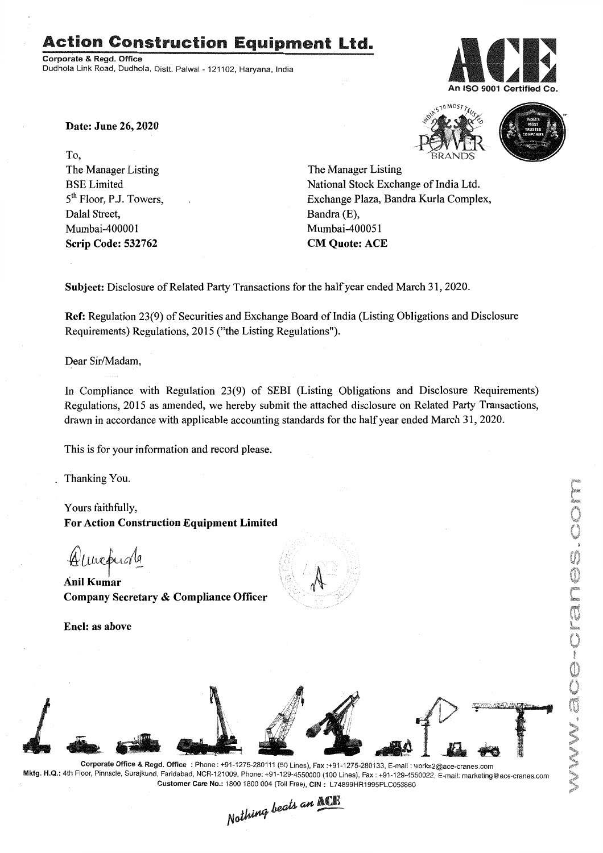# Action Construction Equipment Ltd..

Corporate & Regd. Office Dudhola Link Road, Dudhola, Distt. Palwal - 121102, Haryana, India



Date: June 26, 2020

To, The Manager Listing BSE Limited 5<sup>th</sup> Floor, P.J. Towers, Dalal Street, Mumbai-400001 Scrip Code: 532762





The Manager Listing National Stock Exchange of India Ltd. Exchange Plaza, Bandra Kurla Complex, Bandra (E), Mumbai-400051 CM Quote: ACE

Subject: Disclosure of Related Party Transactions for the half year ended March 31,2020.

Ref: Regulation 23(9) of Securities and Exchange Board of India (Listing Obligations and Disclosure Requirements) Regulations, 2015 ("the Listing Regulations").

Dear Sir/Madam,

In Compliance with Regulation 23(9) of SEBI (Listing Obligations and Disclosure Requirements) Regulations, 2015 as amended, we hereby submit the attached disclosure on Related Party Transactions, drawn in accordance with applicable accounting standards for the half year ended March 31,2020.

This is for your information and record please.

Thanking You.

Yours faithfully, For Action Construction Equipment Limited

Almepurla

AnilKumar Company Secretary & Compliance Officer

Encl: as above





Corporate Office & Regd. Office: Phone: +91-1275-280111(50 Lines), Fax:+91-1275-280133, E-mail: works2@ace-cranes.com Mktg. H.Q.: 4th Floor, Pinnacle, Surajkund, Faridabad, NCR-121009, Phone: +91-129-4550000 (100 Lines), Fax: +91-129-4550022, E-mail: marketing@ace-cranes.com Customer Care No.: 1800 1800004 (Toll Free), CIN: L74899HR1995PLC053860

Nothing beats an ACE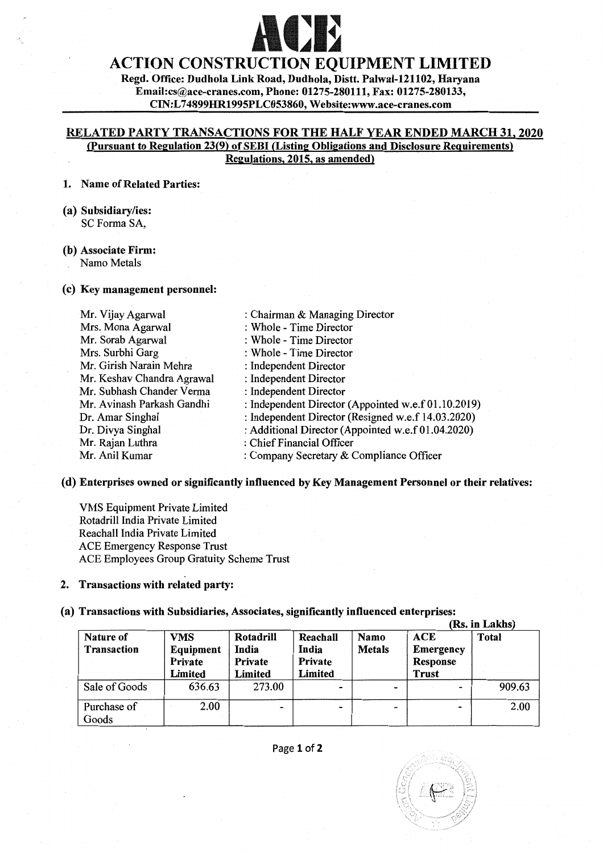# **ACE**

# ACTION CONSTRUCTION EQUIPMENT LIMITED

Regd. Office: Dudhola Link Road, Dudhola, Distt. Palwal-121102, Haryana Email:cs@ace-cranes.com, Phone: 01275-280111, Fax: 01275-280133, CIN:L 74899HR1995PLC053860, Website:www.ace-cranes.com

## RELATED PARTY TRANSACTIONS FOR THE HALF YEAR ENDED MARCH 31. 2020 (pursuant to Regulation 23(9) of SERI (Listing Obligations and Disclosure Requirements) Regulations. 2015. as amended)

#### 1. Name of Related Parties:

(a) Subsidiary/ies: SC Forma SA,

#### (b) Associate Firm: Namo Metals

## (c) Key management personnel:

| Mr. Vijay Agarwal          | : Chairman & Managing Director                      |
|----------------------------|-----------------------------------------------------|
| Mrs. Mona Agarwal          | : Whole - Time Director                             |
| Mr. Sorab Agarwal          | : Whole - Time Director                             |
| Mrs. Surbhi Garg           | : Whole - Time Director                             |
| Mr. Girish Narain Mehra    | : Independent Director                              |
| Mr. Keshav Chandra Agrawal | : Independent Director                              |
| Mr. Subhash Chander Verma  | : Independent Director                              |
| Mr. Avinash Parkash Gandhi | : Independent Director (Appointed w.e.f 01.10.2019) |
| Dr. Amar Singhal           | : Independent Director (Resigned w.e.f 14.03.2020)  |
| Dr. Divya Singhal          | : Additional Director (Appointed w.e.f 01.04.2020)  |
| Mr. Rajan Luthra           | : Chief Financial Officer                           |
| Mr. Anil Kumar             | : Company Secretary $&$ Compliance Officer          |

## (d) Enterprises owned or significantly influenced by Key Management Personnel or their relatives:

VMS Equipment Private Limited Rotadrill India Private Limited Reachall India Private Limited ACE Emergency Response Trust ACE Employees Group Gratuity Scheme Trust

# 2. Transactions with related party:

## (a) Transactions with Subsidiaries, Associates, significantly influenced enterprises:

|                          |                                        |                                                 |                                         |                              | (Rs. in Lakhs)                                             |        |
|--------------------------|----------------------------------------|-------------------------------------------------|-----------------------------------------|------------------------------|------------------------------------------------------------|--------|
| Nature of<br>Transaction | VMS<br>Equipment<br>Private<br>Limited | Rotadrill<br>India<br>Private<br><b>Limited</b> | Reachall<br>India<br>Private<br>Limited | <b>Namo</b><br><b>Metals</b> | <b>ACE</b><br><b>Emergency</b><br>Response<br><b>Trust</b> | Total  |
| Sale of Goods            | 636.63                                 | 273.00                                          |                                         | $\overline{\phantom{a}}$     | $\blacksquare$                                             | 909.63 |
| Purchase of<br>Goods     | 2.00                                   | -                                               |                                         | -                            | $\bullet$                                                  | 2.00   |